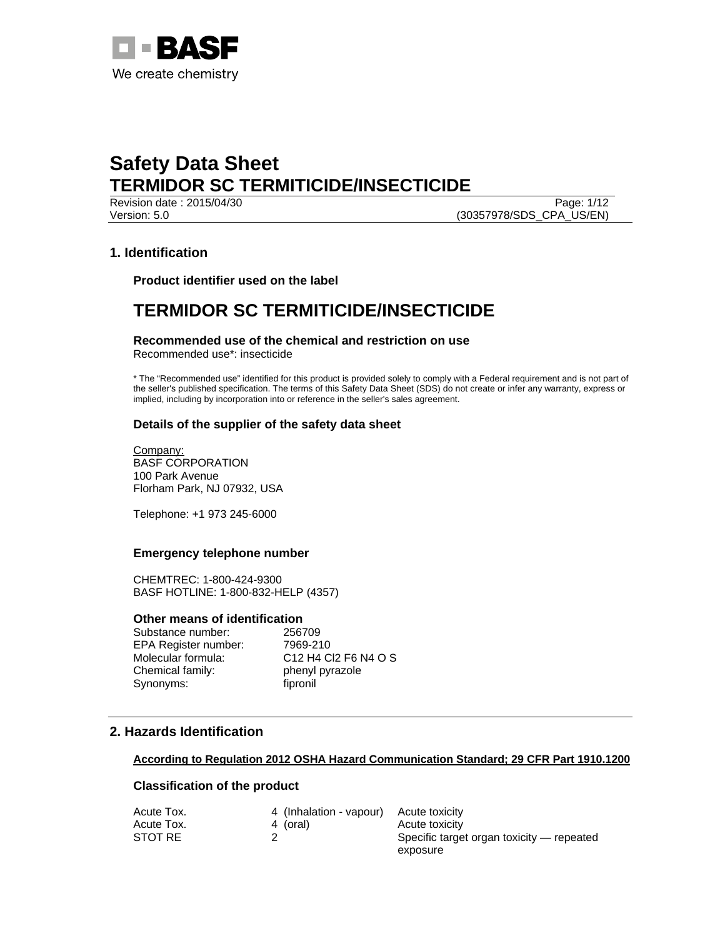

Version: 5.0 (30357978/SDS\_CPA\_US/EN)

**Revision date : 2015/04/30** Page: 1/12

### **1. Identification**

**Product identifier used on the label** 

# **TERMIDOR SC TERMITICIDE/INSECTICIDE**

**Recommended use of the chemical and restriction on use**  Recommended use\*: insecticide

\* The "Recommended use" identified for this product is provided solely to comply with a Federal requirement and is not part of the seller's published specification. The terms of this Safety Data Sheet (SDS) do not create or infer any warranty, express or implied, including by incorporation into or reference in the seller's sales agreement.

### **Details of the supplier of the safety data sheet**

Company: BASF CORPORATION 100 Park Avenue Florham Park, NJ 07932, USA

Telephone: +1 973 245-6000

#### **Emergency telephone number**

CHEMTREC: 1-800-424-9300 BASF HOTLINE: 1-800-832-HELP (4357)

#### **Other means of identification**

Substance number: 256709 EPA Register number: 7969-210 Molecular formula: C12 H4 Cl2 F6 N4 O S Chemical family: phenyl pyrazole Synonyms: fipronil

# **2. Hazards Identification**

#### **According to Regulation 2012 OSHA Hazard Communication Standard; 29 CFR Part 1910.1200**

#### **Classification of the product**

| 4 (Inhalation - vapour) Acute toxicity |                                           |
|----------------------------------------|-------------------------------------------|
| 4 (oral)                               | Acute toxicity                            |
|                                        | Specific target organ toxicity — repeated |
|                                        | exposure                                  |
|                                        |                                           |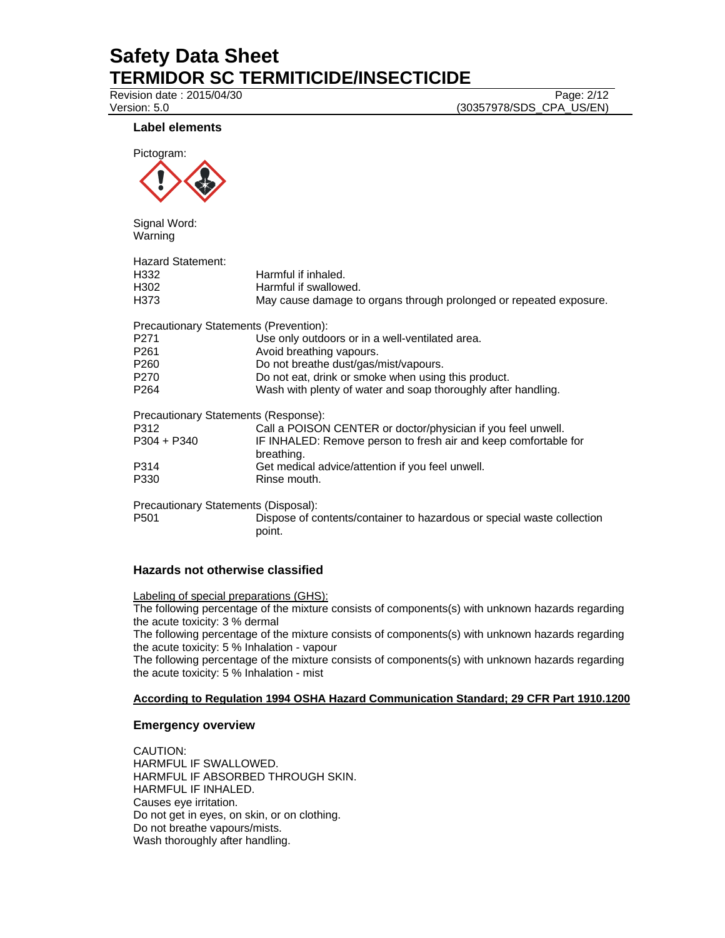Revision date : 2015/04/30 Page: 2/12

Version: 5.0 (30357978/SDS\_CPA\_US/EN)

#### **Label elements**



Signal Word: Warning

| Harmful if inhaled.<br>Harmful if swallowed.<br>May cause damage to organs through prolonged or repeated exposure. |
|--------------------------------------------------------------------------------------------------------------------|
| Precautionary Statements (Prevention):                                                                             |
| Use only outdoors or in a well-ventilated area.                                                                    |
| Avoid breathing vapours.                                                                                           |
| Do not breathe dust/gas/mist/vapours.                                                                              |
| Do not eat, drink or smoke when using this product.                                                                |
| Wash with plenty of water and soap thoroughly after handling.                                                      |
| Precautionary Statements (Response):                                                                               |
| Call a POISON CENTER or doctor/physician if you feel unwell.                                                       |
| IF INHALED: Remove person to fresh air and keep comfortable for<br>breathing.                                      |
| Get medical advice/attention if you feel unwell.                                                                   |
| Rinse mouth.                                                                                                       |
| Precautionary Statements (Disposal):                                                                               |
| Dispose of contents/container to hazardous or special waste collection<br>point.                                   |
|                                                                                                                    |

### **Hazards not otherwise classified**

Labeling of special preparations (GHS): The following percentage of the mixture consists of components(s) with unknown hazards regarding the acute toxicity: 3 % dermal

The following percentage of the mixture consists of components(s) with unknown hazards regarding the acute toxicity: 5 % Inhalation - vapour

The following percentage of the mixture consists of components(s) with unknown hazards regarding the acute toxicity: 5 % Inhalation - mist

#### **According to Regulation 1994 OSHA Hazard Communication Standard; 29 CFR Part 1910.1200**

### **Emergency overview**

CAUTION: HARMFUL IF SWALLOWED. HARMFUL IF ABSORBED THROUGH SKIN. HARMFUL IF INHALED. Causes eye irritation. Do not get in eyes, on skin, or on clothing. Do not breathe vapours/mists. Wash thoroughly after handling.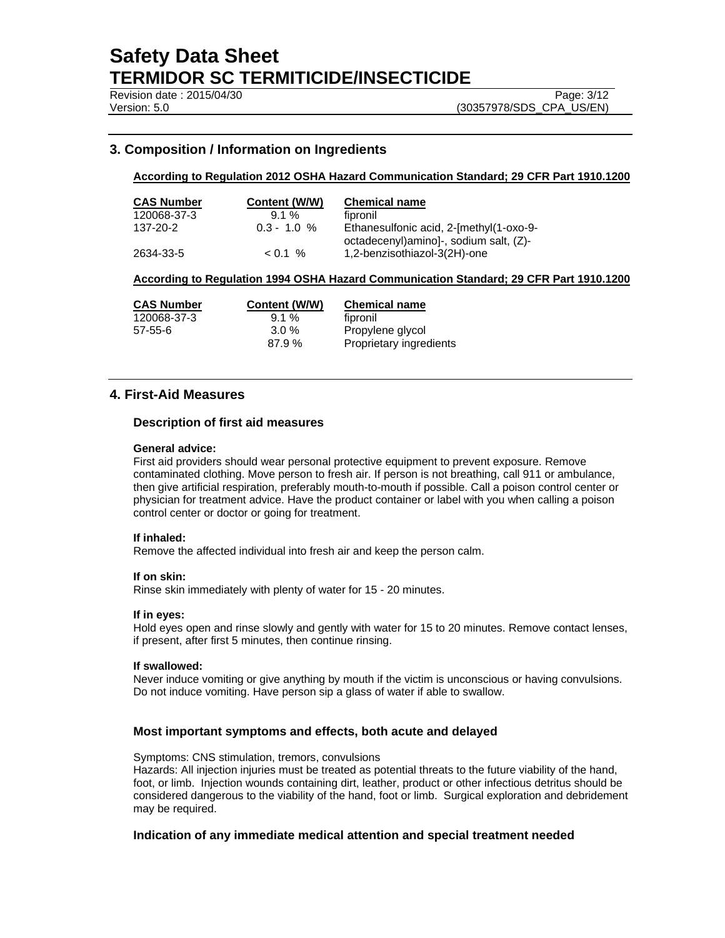Revision date : 2015/04/30 Page: 3/12

Version: 5.0 (30357978/SDS\_CPA\_US/EN)

### **3. Composition / Information on Ingredients**

#### **According to Regulation 2012 OSHA Hazard Communication Standard; 29 CFR Part 1910.1200**

| <b>CAS Number</b> | Content (W/W) | <b>Chemical name</b>                                                               |
|-------------------|---------------|------------------------------------------------------------------------------------|
| 120068-37-3       | $9.1\%$       | fipronil                                                                           |
| 137-20-2          | $0.3 - 1.0 %$ | Ethanesulfonic acid, 2-[methyl(1-oxo-9-<br>octadecenyl) aminol-, sodium salt, (Z)- |
| 2634-33-5         | $< 0.1 \%$    | 1,2-benzisothiazol-3(2H)-one                                                       |

#### **According to Regulation 1994 OSHA Hazard Communication Standard; 29 CFR Part 1910.1200**

| <b>CAS Number</b> | Content (W/W) | <b>Chemical name</b>    |
|-------------------|---------------|-------------------------|
| 120068-37-3       | $9.1\%$       | fipronil                |
| $57 - 55 - 6$     | $3.0\%$       | Propylene glycol        |
|                   | 87.9%         | Proprietary ingredients |

#### **4. First-Aid Measures**

#### **Description of first aid measures**

#### **General advice:**

First aid providers should wear personal protective equipment to prevent exposure. Remove contaminated clothing. Move person to fresh air. If person is not breathing, call 911 or ambulance, then give artificial respiration, preferably mouth-to-mouth if possible. Call a poison control center or physician for treatment advice. Have the product container or label with you when calling a poison control center or doctor or going for treatment.

#### **If inhaled:**

Remove the affected individual into fresh air and keep the person calm.

#### **If on skin:**

Rinse skin immediately with plenty of water for 15 - 20 minutes.

#### **If in eyes:**

Hold eyes open and rinse slowly and gently with water for 15 to 20 minutes. Remove contact lenses, if present, after first 5 minutes, then continue rinsing.

#### **If swallowed:**

Never induce vomiting or give anything by mouth if the victim is unconscious or having convulsions. Do not induce vomiting. Have person sip a glass of water if able to swallow.

#### **Most important symptoms and effects, both acute and delayed**

Symptoms: CNS stimulation, tremors, convulsions

Hazards: All injection injuries must be treated as potential threats to the future viability of the hand, foot, or limb. Injection wounds containing dirt, leather, product or other infectious detritus should be considered dangerous to the viability of the hand, foot or limb. Surgical exploration and debridement may be required.

#### **Indication of any immediate medical attention and special treatment needed**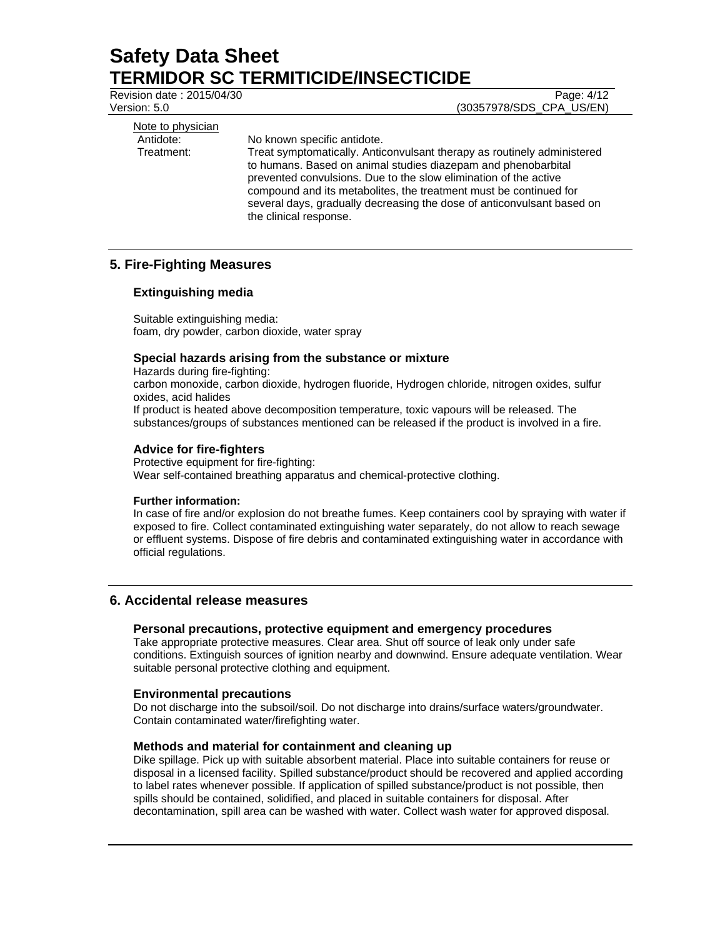Revision date : 2015/04/30 Page: 4/12

Version: 5.0 (30357978/SDS\_CPA\_US/EN)

Note to physician

Antidote: No known specific antidote.

Treatment: Treat symptomatically. Anticonvulsant therapy as routinely administered to humans. Based on animal studies diazepam and phenobarbital prevented convulsions. Due to the slow elimination of the active compound and its metabolites, the treatment must be continued for several days, gradually decreasing the dose of anticonvulsant based on the clinical response.

# **5. Fire-Fighting Measures**

### **Extinguishing media**

Suitable extinguishing media: foam, dry powder, carbon dioxide, water spray

### **Special hazards arising from the substance or mixture**

Hazards during fire-fighting:

carbon monoxide, carbon dioxide, hydrogen fluoride, Hydrogen chloride, nitrogen oxides, sulfur oxides, acid halides

If product is heated above decomposition temperature, toxic vapours will be released. The substances/groups of substances mentioned can be released if the product is involved in a fire.

### **Advice for fire-fighters**

Protective equipment for fire-fighting: Wear self-contained breathing apparatus and chemical-protective clothing.

### **Further information:**

In case of fire and/or explosion do not breathe fumes. Keep containers cool by spraying with water if exposed to fire. Collect contaminated extinguishing water separately, do not allow to reach sewage or effluent systems. Dispose of fire debris and contaminated extinguishing water in accordance with official regulations.

### **6. Accidental release measures**

### **Personal precautions, protective equipment and emergency procedures**

Take appropriate protective measures. Clear area. Shut off source of leak only under safe conditions. Extinguish sources of ignition nearby and downwind. Ensure adequate ventilation. Wear suitable personal protective clothing and equipment.

### **Environmental precautions**

Do not discharge into the subsoil/soil. Do not discharge into drains/surface waters/groundwater. Contain contaminated water/firefighting water.

### **Methods and material for containment and cleaning up**

Dike spillage. Pick up with suitable absorbent material. Place into suitable containers for reuse or disposal in a licensed facility. Spilled substance/product should be recovered and applied according to label rates whenever possible. If application of spilled substance/product is not possible, then spills should be contained, solidified, and placed in suitable containers for disposal. After decontamination, spill area can be washed with water. Collect wash water for approved disposal.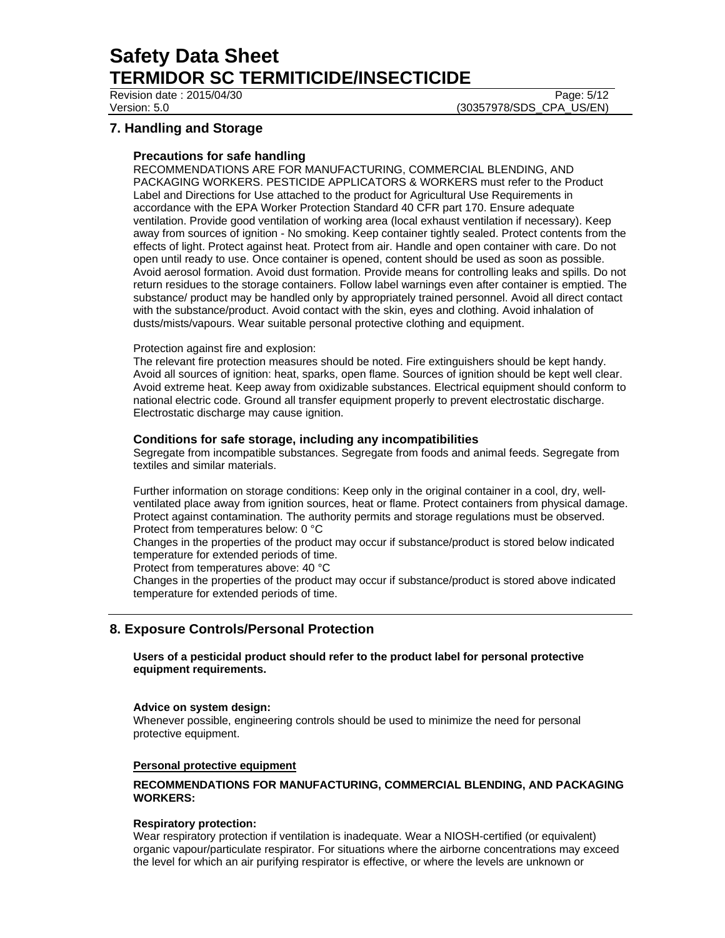Revision date : 2015/04/30 Page: 5/12

Version: 5.0 (30357978/SDS\_CPA\_US/EN)

# **7. Handling and Storage**

### **Precautions for safe handling**

RECOMMENDATIONS ARE FOR MANUFACTURING, COMMERCIAL BLENDING, AND PACKAGING WORKERS. PESTICIDE APPLICATORS & WORKERS must refer to the Product Label and Directions for Use attached to the product for Agricultural Use Requirements in accordance with the EPA Worker Protection Standard 40 CFR part 170. Ensure adequate ventilation. Provide good ventilation of working area (local exhaust ventilation if necessary). Keep away from sources of ignition - No smoking. Keep container tightly sealed. Protect contents from the effects of light. Protect against heat. Protect from air. Handle and open container with care. Do not open until ready to use. Once container is opened, content should be used as soon as possible. Avoid aerosol formation. Avoid dust formation. Provide means for controlling leaks and spills. Do not return residues to the storage containers. Follow label warnings even after container is emptied. The substance/ product may be handled only by appropriately trained personnel. Avoid all direct contact with the substance/product. Avoid contact with the skin, eyes and clothing. Avoid inhalation of dusts/mists/vapours. Wear suitable personal protective clothing and equipment.

### Protection against fire and explosion:

The relevant fire protection measures should be noted. Fire extinguishers should be kept handy. Avoid all sources of ignition: heat, sparks, open flame. Sources of ignition should be kept well clear. Avoid extreme heat. Keep away from oxidizable substances. Electrical equipment should conform to national electric code. Ground all transfer equipment properly to prevent electrostatic discharge. Electrostatic discharge may cause ignition.

### **Conditions for safe storage, including any incompatibilities**

Segregate from incompatible substances. Segregate from foods and animal feeds. Segregate from textiles and similar materials.

Further information on storage conditions: Keep only in the original container in a cool, dry, wellventilated place away from ignition sources, heat or flame. Protect containers from physical damage. Protect against contamination. The authority permits and storage regulations must be observed. Protect from temperatures below: 0 °C

Changes in the properties of the product may occur if substance/product is stored below indicated temperature for extended periods of time.

Protect from temperatures above: 40 °C

Changes in the properties of the product may occur if substance/product is stored above indicated temperature for extended periods of time.

### **8. Exposure Controls/Personal Protection**

**Users of a pesticidal product should refer to the product label for personal protective equipment requirements.** 

#### **Advice on system design:**

Whenever possible, engineering controls should be used to minimize the need for personal protective equipment.

### **Personal protective equipment**

### **RECOMMENDATIONS FOR MANUFACTURING, COMMERCIAL BLENDING, AND PACKAGING WORKERS:**

#### **Respiratory protection:**

Wear respiratory protection if ventilation is inadequate. Wear a NIOSH-certified (or equivalent) organic vapour/particulate respirator. For situations where the airborne concentrations may exceed the level for which an air purifying respirator is effective, or where the levels are unknown or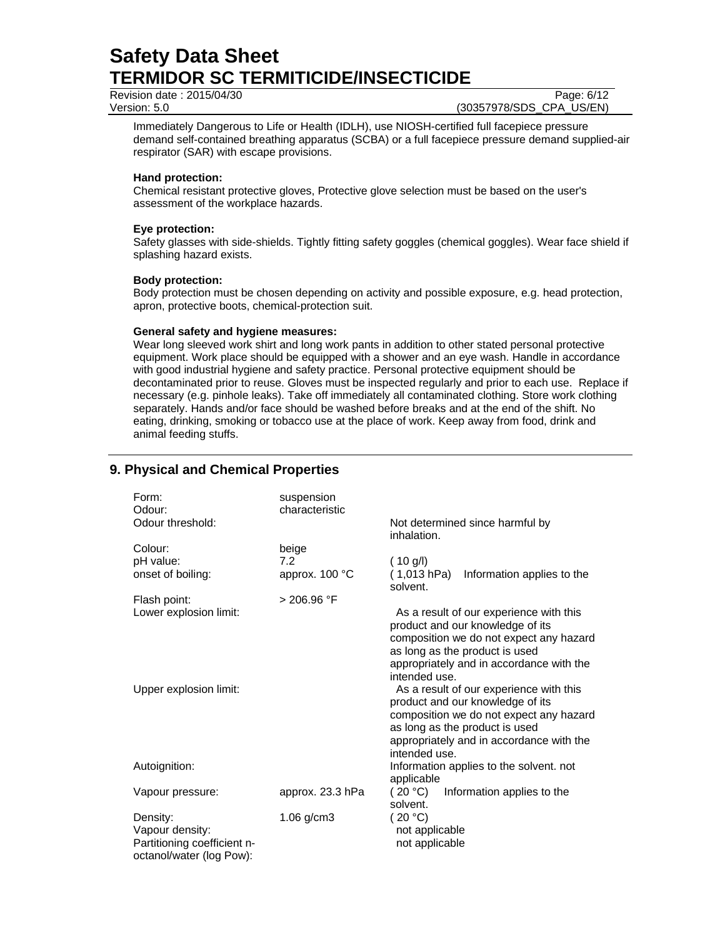Revision date : 2015/04/30 Page: 6/12

Version: 5.0 (30357978/SDS\_CPA\_US/EN)

Immediately Dangerous to Life or Health (IDLH), use NIOSH-certified full facepiece pressure demand self-contained breathing apparatus (SCBA) or a full facepiece pressure demand supplied-air respirator (SAR) with escape provisions.

#### **Hand protection:**

Chemical resistant protective gloves, Protective glove selection must be based on the user's assessment of the workplace hazards.

#### **Eye protection:**

Safety glasses with side-shields. Tightly fitting safety goggles (chemical goggles). Wear face shield if splashing hazard exists.

#### **Body protection:**

Body protection must be chosen depending on activity and possible exposure, e.g. head protection, apron, protective boots, chemical-protection suit.

#### **General safety and hygiene measures:**

Wear long sleeved work shirt and long work pants in addition to other stated personal protective equipment. Work place should be equipped with a shower and an eye wash. Handle in accordance with good industrial hygiene and safety practice. Personal protective equipment should be decontaminated prior to reuse. Gloves must be inspected regularly and prior to each use. Replace if necessary (e.g. pinhole leaks). Take off immediately all contaminated clothing. Store work clothing separately. Hands and/or face should be washed before breaks and at the end of the shift. No eating, drinking, smoking or tobacco use at the place of work. Keep away from food, drink and animal feeding stuffs.

# **9. Physical and Chemical Properties**

| Form:<br>Odour:<br>Odour threshold:                                                    | suspension<br>characteristic | inhalation.                                 | Not determined since harmful by                                                                                                                                                                      |
|----------------------------------------------------------------------------------------|------------------------------|---------------------------------------------|------------------------------------------------------------------------------------------------------------------------------------------------------------------------------------------------------|
| Colour:<br>pH value:                                                                   | beige<br>7.2                 | (10 g/l)                                    |                                                                                                                                                                                                      |
| onset of boiling:                                                                      | approx. 100 °C               | (1,013 hPa)<br>solvent.                     | Information applies to the                                                                                                                                                                           |
| Flash point:                                                                           | > 206.96 °F                  |                                             |                                                                                                                                                                                                      |
| Lower explosion limit:                                                                 |                              | intended use.                               | As a result of our experience with this<br>product and our knowledge of its<br>composition we do not expect any hazard<br>as long as the product is used<br>appropriately and in accordance with the |
| Upper explosion limit:                                                                 |                              | intended use.                               | As a result of our experience with this<br>product and our knowledge of its<br>composition we do not expect any hazard<br>as long as the product is used<br>appropriately and in accordance with the |
| Autoignition:                                                                          |                              | applicable                                  | Information applies to the solvent. not                                                                                                                                                              |
| Vapour pressure:                                                                       | approx. 23.3 hPa             | (20 °C)<br>solvent.                         | Information applies to the                                                                                                                                                                           |
| Density:<br>Vapour density:<br>Partitioning coefficient n-<br>octanol/water (log Pow): | $1.06$ g/cm $3$              | (20 °C)<br>not applicable<br>not applicable |                                                                                                                                                                                                      |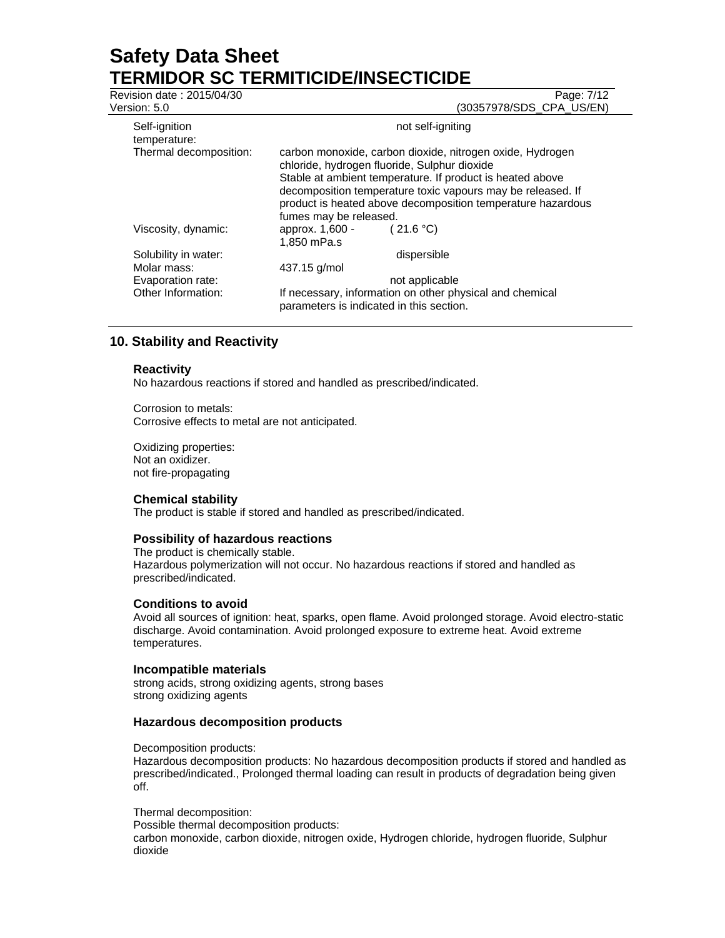| Revision date: 2015/04/30<br>Version: 5.0 |                                                                                                                                                                                                                                                                                                                                | Page: 7/12<br>(30357978/SDS CPA US/EN) |
|-------------------------------------------|--------------------------------------------------------------------------------------------------------------------------------------------------------------------------------------------------------------------------------------------------------------------------------------------------------------------------------|----------------------------------------|
| Self-ignition<br>temperature:             | not self-igniting                                                                                                                                                                                                                                                                                                              |                                        |
| Thermal decomposition:                    | carbon monoxide, carbon dioxide, nitrogen oxide, Hydrogen<br>chloride, hydrogen fluoride, Sulphur dioxide<br>Stable at ambient temperature. If product is heated above<br>decomposition temperature toxic vapours may be released. If<br>product is heated above decomposition temperature hazardous<br>fumes may be released. |                                        |
| Viscosity, dynamic:                       | approx. 1,600 -<br>1.850 mPa.s                                                                                                                                                                                                                                                                                                 | (21.6 °C)                              |
| Solubility in water:                      |                                                                                                                                                                                                                                                                                                                                | dispersible                            |
| Molar mass:                               | 437.15 g/mol                                                                                                                                                                                                                                                                                                                   |                                        |
| Evaporation rate:                         |                                                                                                                                                                                                                                                                                                                                | not applicable                         |
| Other Information:                        | If necessary, information on other physical and chemical<br>parameters is indicated in this section.                                                                                                                                                                                                                           |                                        |

### **10. Stability and Reactivity**

#### **Reactivity**

No hazardous reactions if stored and handled as prescribed/indicated.

Corrosion to metals: Corrosive effects to metal are not anticipated.

Oxidizing properties: Not an oxidizer. not fire-propagating

### **Chemical stability**

The product is stable if stored and handled as prescribed/indicated.

#### **Possibility of hazardous reactions**

The product is chemically stable. Hazardous polymerization will not occur. No hazardous reactions if stored and handled as prescribed/indicated.

#### **Conditions to avoid**

Avoid all sources of ignition: heat, sparks, open flame. Avoid prolonged storage. Avoid electro-static discharge. Avoid contamination. Avoid prolonged exposure to extreme heat. Avoid extreme temperatures.

#### **Incompatible materials**

strong acids, strong oxidizing agents, strong bases strong oxidizing agents

#### **Hazardous decomposition products**

Decomposition products:

Hazardous decomposition products: No hazardous decomposition products if stored and handled as prescribed/indicated., Prolonged thermal loading can result in products of degradation being given off.

#### Thermal decomposition:

Possible thermal decomposition products:

carbon monoxide, carbon dioxide, nitrogen oxide, Hydrogen chloride, hydrogen fluoride, Sulphur dioxide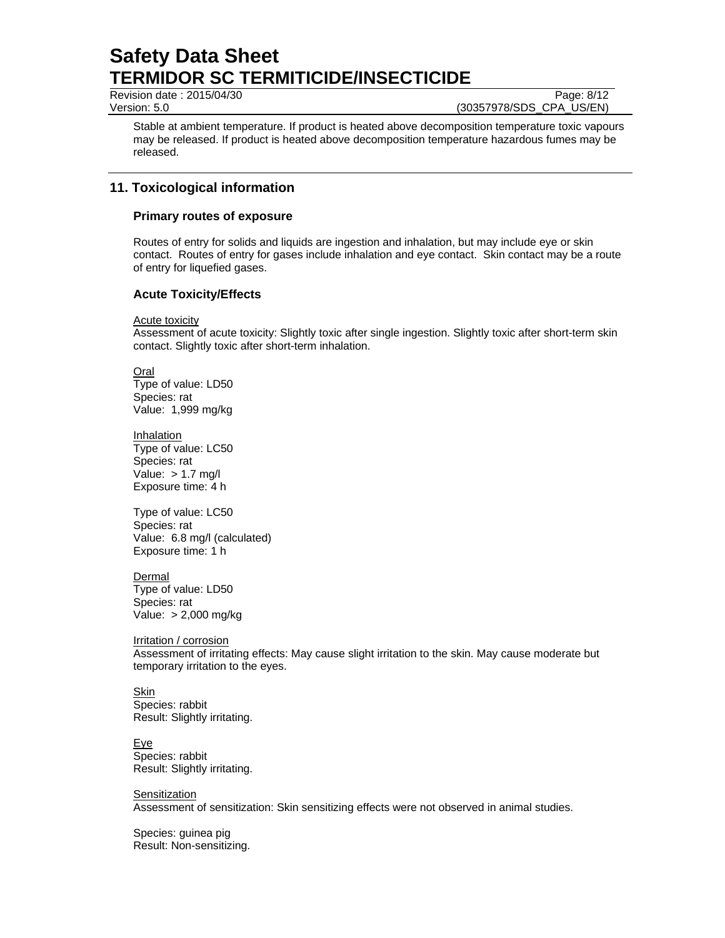Revision date : 2015/04/30 Page: 8/12

Version: 5.0 (30357978/SDS\_CPA\_US/EN)

Stable at ambient temperature. If product is heated above decomposition temperature toxic vapours may be released. If product is heated above decomposition temperature hazardous fumes may be released.

# **11. Toxicological information**

### **Primary routes of exposure**

Routes of entry for solids and liquids are ingestion and inhalation, but may include eye or skin contact. Routes of entry for gases include inhalation and eye contact. Skin contact may be a route of entry for liquefied gases.

### **Acute Toxicity/Effects**

Acute toxicity

Assessment of acute toxicity: Slightly toxic after single ingestion. Slightly toxic after short-term skin contact. Slightly toxic after short-term inhalation.

Oral Type of value: LD50 Species: rat Value: 1,999 mg/kg

**Inhalation** Type of value: LC50 Species: rat Value:  $> 1.7$  mg/l Exposure time: 4 h

Type of value: LC50 Species: rat Value: 6.8 mg/l (calculated) Exposure time: 1 h

Dermal Type of value: LD50 Species: rat Value: > 2,000 mg/kg

Irritation / corrosion Assessment of irritating effects: May cause slight irritation to the skin. May cause moderate but temporary irritation to the eyes.

**Skin** Species: rabbit Result: Slightly irritating.

Eye Species: rabbit Result: Slightly irritating.

**Sensitization** Assessment of sensitization: Skin sensitizing effects were not observed in animal studies.

Species: guinea pig Result: Non-sensitizing.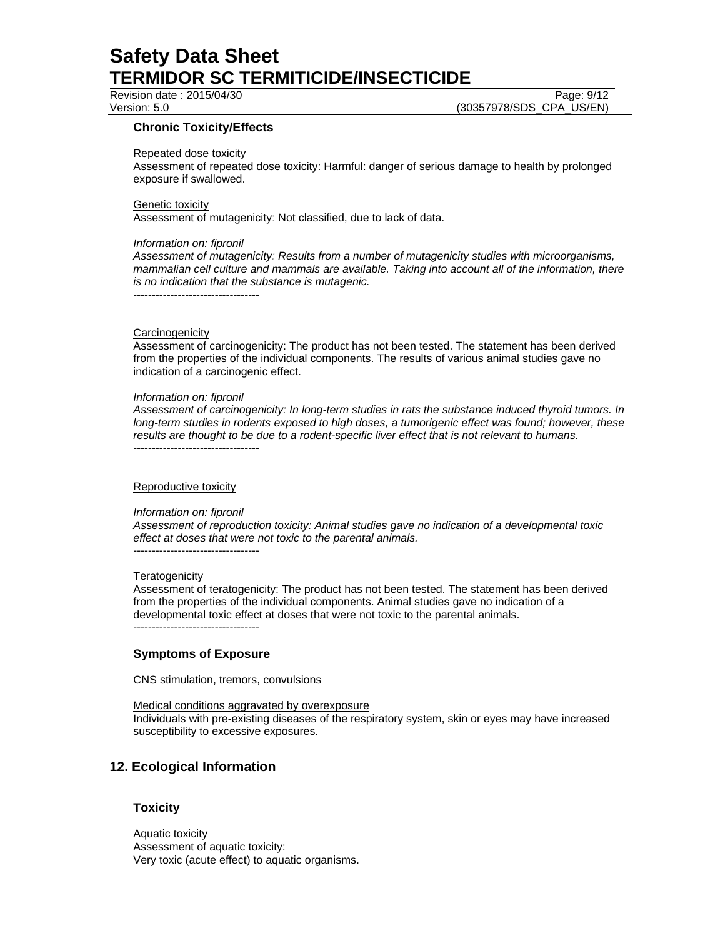# Revision date : 2015/04/30 Page: 9/12

Version: 5.0 (30357978/SDS\_CPA\_US/EN)

### **Chronic Toxicity/Effects**

#### Repeated dose toxicity

Assessment of repeated dose toxicity: Harmful: danger of serious damage to health by prolonged exposure if swallowed.

#### Genetic toxicity

Assessment of mutagenicity: Not classified, due to lack of data.

#### *Information on: fipronil*

*Assessment of mutagenicity: Results from a number of mutagenicity studies with microorganisms, mammalian cell culture and mammals are available. Taking into account all of the information, there is no indication that the substance is mutagenic.* 

----------------------------------

#### **Carcinogenicity**

Assessment of carcinogenicity: The product has not been tested. The statement has been derived from the properties of the individual components. The results of various animal studies gave no indication of a carcinogenic effect.

#### *Information on: fipronil*

----------------------------------

*Assessment of carcinogenicity: In long-term studies in rats the substance induced thyroid tumors. In long-term studies in rodents exposed to high doses, a tumorigenic effect was found; however, these results are thought to be due to a rodent-specific liver effect that is not relevant to humans.* 

#### Reproductive toxicity

#### *Information on: fipronil*

*Assessment of reproduction toxicity: Animal studies gave no indication of a developmental toxic effect at doses that were not toxic to the parental animals.*  ----------------------------------

#### **Teratogenicity**

Assessment of teratogenicity: The product has not been tested. The statement has been derived from the properties of the individual components. Animal studies gave no indication of a developmental toxic effect at doses that were not toxic to the parental animals. ----------------------------------

### **Symptoms of Exposure**

CNS stimulation, tremors, convulsions

#### Medical conditions aggravated by overexposure

Individuals with pre-existing diseases of the respiratory system, skin or eyes may have increased susceptibility to excessive exposures.

### **12. Ecological Information**

### **Toxicity**

Aquatic toxicity Assessment of aquatic toxicity: Very toxic (acute effect) to aquatic organisms.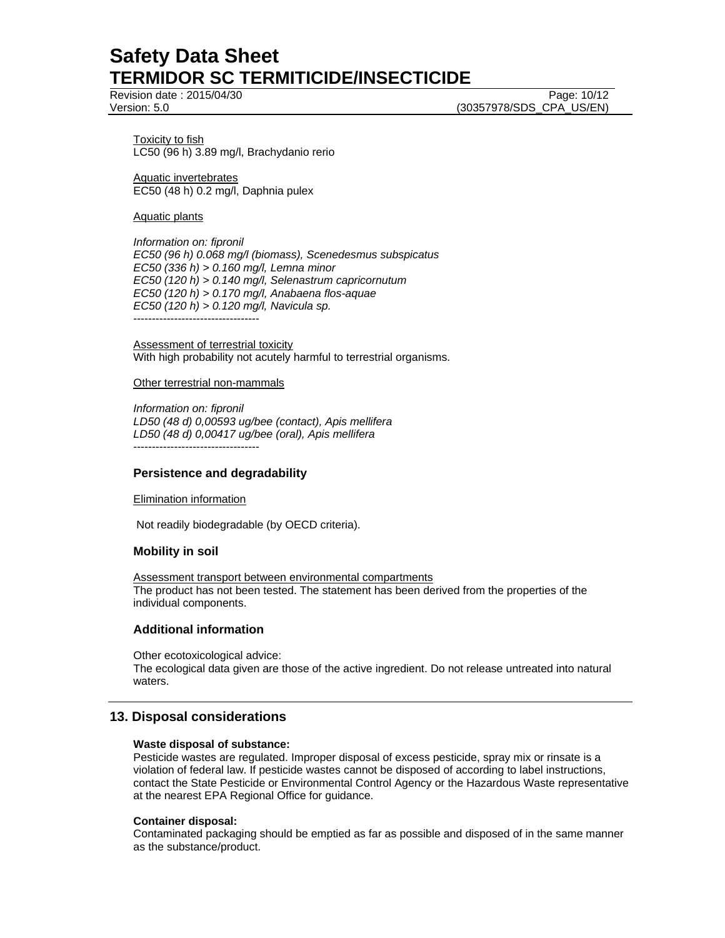Revision date : 2015/04/30 **Page: 10/12** Page: 10/12

Version: 5.0 (30357978/SDS\_CPA\_US/EN)

Toxicity to fish LC50 (96 h) 3.89 mg/l, Brachydanio rerio

Aquatic invertebrates EC50 (48 h) 0.2 mg/l, Daphnia pulex

#### Aquatic plants

*Information on: fipronil EC50 (96 h) 0.068 mg/l (biomass), Scenedesmus subspicatus EC50 (336 h) > 0.160 mg/l, Lemna minor EC50 (120 h) > 0.140 mg/l, Selenastrum capricornutum EC50 (120 h) > 0.170 mg/l, Anabaena flos-aquae EC50 (120 h) > 0.120 mg/l, Navicula sp.* 

----------------------------------

Assessment of terrestrial toxicity With high probability not acutely harmful to terrestrial organisms.

#### Other terrestrial non-mammals

*Information on: fipronil LD50 (48 d) 0,00593 ug/bee (contact), Apis mellifera LD50 (48 d) 0,00417 ug/bee (oral), Apis mellifera*  ----------------------------------

#### **Persistence and degradability**

#### Elimination information

Not readily biodegradable (by OECD criteria).

#### **Mobility in soil**

Assessment transport between environmental compartments The product has not been tested. The statement has been derived from the properties of the individual components.

#### **Additional information**

Other ecotoxicological advice: The ecological data given are those of the active ingredient. Do not release untreated into natural waters.

### **13. Disposal considerations**

#### **Waste disposal of substance:**

Pesticide wastes are regulated. Improper disposal of excess pesticide, spray mix or rinsate is a violation of federal law. If pesticide wastes cannot be disposed of according to label instructions, contact the State Pesticide or Environmental Control Agency or the Hazardous Waste representative at the nearest EPA Regional Office for guidance.

#### **Container disposal:**

Contaminated packaging should be emptied as far as possible and disposed of in the same manner as the substance/product.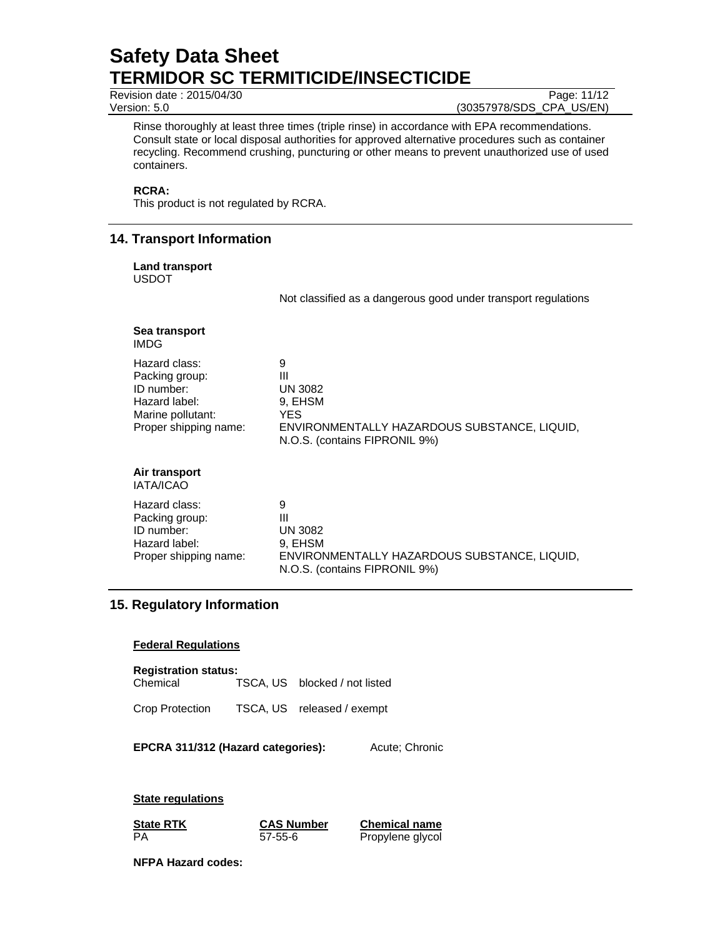Revision date : 2015/04/30 Page: 11/12<br>Version: 5.0 (30357978/SDS\_CPA\_US/EN)

(30357978/SDS\_CPA\_US/EN)

Rinse thoroughly at least three times (triple rinse) in accordance with EPA recommendations. Consult state or local disposal authorities for approved alternative procedures such as container recycling. Recommend crushing, puncturing or other means to prevent unauthorized use of used containers.

#### **RCRA:**

This product is not regulated by RCRA.

### **14. Transport Information**

#### **Land transport**

USDOT

Not classified as a dangerous good under transport regulations

# **Sea transport**

IMDG

| Hazard class:         | 9                                                                             |
|-----------------------|-------------------------------------------------------------------------------|
| Packing group:        | Ш                                                                             |
| ID number:            | <b>UN 3082</b>                                                                |
| Hazard label:         | 9, EHSM                                                                       |
| Marine pollutant:     | YES                                                                           |
| Proper shipping name: | ENVIRONMENTALLY HAZARDOUS SUBSTANCE, LIQUID,<br>N.O.S. (contains FIPRONIL 9%) |

#### **Air transport**  IATA/ICAO

| Hazard class:         | 9                                                                             |
|-----------------------|-------------------------------------------------------------------------------|
| Packing group:        | Ш                                                                             |
| ID number:            | <b>UN 3082</b>                                                                |
| Hazard label:         | 9. EHSM                                                                       |
| Proper shipping name: | ENVIRONMENTALLY HAZARDOUS SUBSTANCE, LIQUID.<br>N.O.S. (contains FIPRONIL 9%) |

### **15. Regulatory Information**

#### **Federal Regulations**

#### **Registration status:**

| Chemical |  | TSCA, US blocked / not listed |
|----------|--|-------------------------------|
|----------|--|-------------------------------|

Crop Protection TSCA, US released / exempt

**EPCRA 311/312 (Hazard categories):** Acute; Chronic

**State regulations**

**State RTK CAS Number Chemical name** PA 57-55-6 Propylene glycol

**NFPA Hazard codes:**